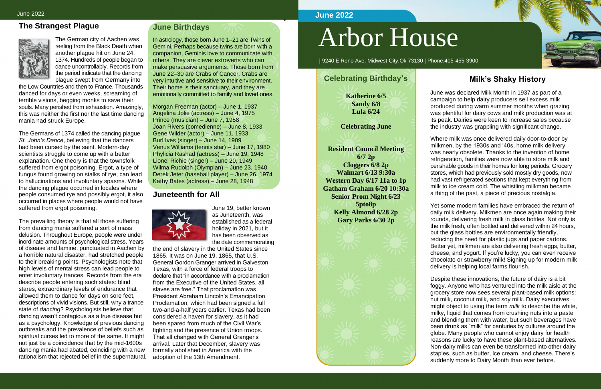S

## **The Strangest Plague**



The German city of Aachen was reeling from the Black Death when another plague hit on June 24, 1374. Hundreds of people began to dance uncontrollably. Records from the period indicate that the dancing plague swept from Germany into

the Low Countries and then to France. Thousands danced for days or even weeks, screaming of terrible visions, begging monks to save their souls. Many perished from exhaustion. Amazingly, this was neither the first nor the last time dancing mania had struck Europe.

The Germans of 1374 called the dancing plague *St. John's Dance*, believing that the dancers had been cursed by the saint. Modern-day scientists struggle to come up with a better explanation. One theory is that the townsfolk suffered from ergot poisoning. Ergot, a type of fungus found growing on stalks of rye, can lead to hallucinations and involuntary spasms. While the dancing plague occurred in locales where people consumed rye and possibly ergot, it also occurred in places where people would not have suffered from ergot poisoning.

The prevailing theory is that all those suffering from dancing mania suffered a sort of mass delusion. Throughout Europe, people were under inordinate amounts of psychological stress. Years of disease and famine, punctuated in Aachen by a horrible natural disaster, had stretched people to their breaking points. Psychologists note that high levels of mental stress can lead people to enter involuntary trances. Records from the era describe people entering such states: blind stares, extraordinary levels of endurance that allowed them to dance for days on sore feet, descriptions of vivid visions. But still, why a trance state of *dancing*? Psychologists believe that dancing wasn't contagious as a true disease but as a psychology. Knowledge of previous dancing outbreaks and the prevalence of beliefs such as spiritual curses led to more of the same. It might not just be a coincidence that by the mid-1600s dancing mania had abated, coinciding with a new rationalism that rejected belief in the supernatural.

#### **June Birthdays**

In astrology, those born June 1–21 are Twins of Gemini. Perhaps because twins are born with a companion, Geminis love to communicate with others. They are clever extroverts who can make persuasive arguments. Those born from June 22–30 are Crabs of Cancer. Crabs are very intuitive and sensitive to their environment. Their home is their sanctuary, and they are emotionally committed to family and loved ones.

Morgan Freeman (actor) – June 1, 1937 Angelina Jolie (actress) – June 4, 1975 Prince (musician) – June 7, 1958 Joan Rivers (comedienne) – June 8, 1933 Gene Wilder (actor) – June 11, 1933 Burl Ives (singer) – June 14, 1909 Venus Williams (tennis star) – June 17, 1980 Phylicia Rashad (actress) – June 19, 1948 Lionel Richie (singer) – June 20, 1949 Wilma Rudolph (Olympian) – June 23, 1940 Derek Jeter (baseball player) – June 26, 1974 Kathy Bates (actress) – June 28, 1948

#### **Juneteenth for All**



June 19, better known as Juneteenth, was established as a federal holiday in 2021, but it has been observed as the date commemorating

the end of slavery in the United States since 1865. It was on June 19, 1865, that U.S. General Gordon Granger arrived in Galveston, Texas, with a force of federal troops to declare that "in accordance with a proclamation from the Executive of the United States, all slaves are free." That proclamation was President Abraham Lincoln's Emancipation Proclamation, which had been signed a full two-and-a-half years earlier. Texas had been considered a haven for slavery, as it had been spared from much of the Civil War's fighting and the presence of Union troops. That all changed with General Granger's arrival. Later that December, slavery was formally abolished in America with the adoption of the 13th Amendment.

# Arbor House

| 9240 E Reno Ave, Midwest City,Ok 73130 | Phone:405-455-3900

## **Milk's Shaky History**

June was declared Milk Month in 1937 as part of a campaign to help dairy producers sell excess milk produced during warm summer months when grazing was plentiful for dairy cows and milk production was at its peak. Dairies were keen to increase sales because the industry was grappling with significant change.

Where milk was once delivered daily door-to-door by milkmen, by the 1930s and '40s, home milk delivery was nearly obsolete. Thanks to the invention of home refrigeration, families were now able to store milk and perishable goods in their homes for long periods. Grocery stores, which had previously sold mostly dry goods, now had vast refrigerated sections that kept everything from milk to ice cream cold. The whistling milkman became a thing of the past, a piece of precious nostalgia.

Yet some modern families have embraced the return of daily milk delivery. Milkmen are once again making their rounds, delivering fresh milk in glass bottles. Not only is the milk fresh, often bottled and delivered within 24 hours, but the glass bottles are environmentally friendly, reducing the need for plastic jugs and paper cartons. Better yet, milkmen are also delivering fresh eggs, butter, cheese, and yogurt. If you're lucky, you can even receive chocolate or strawberry milk! Signing up for modern milk delivery is helping local farms flourish.



Despite these innovations, the future of dairy is a bit foggy. Anyone who has ventured into the milk aisle at the grocery store now sees several plant-based milk options: nut milk, coconut milk, and soy milk. Dairy executives might object to using the term *milk* to describe the white, milky, liquid that comes from crushing nuts into a paste and blending them with water, but such beverages have been drunk as "milk" for centuries by cultures around the globe. Many people who cannot enjoy dairy for health reasons are lucky to have these plant-based alternatives. Non-dairy milks can even be transformed into other dairy staples, such as butter, ice cream, and cheese. There's suddenly more to Dairy Month than ever before.

#### **June 2022**

## **Celebrating Birthday's**

**Katherine 6/5 Sandy 6/8 Lula 6/24**

**Celebrating June**

**Resident Council Meeting 6/7 2p Cloggers 6/8 2p Walmart 6/13 9:30a Western Day 6/17 11a to 1p Gatham Graham 6/20 10:30a Senior Prom Night 6/23 5pto8p Kelly Almond 6/28 2p Gary Parks 6/30 2p**